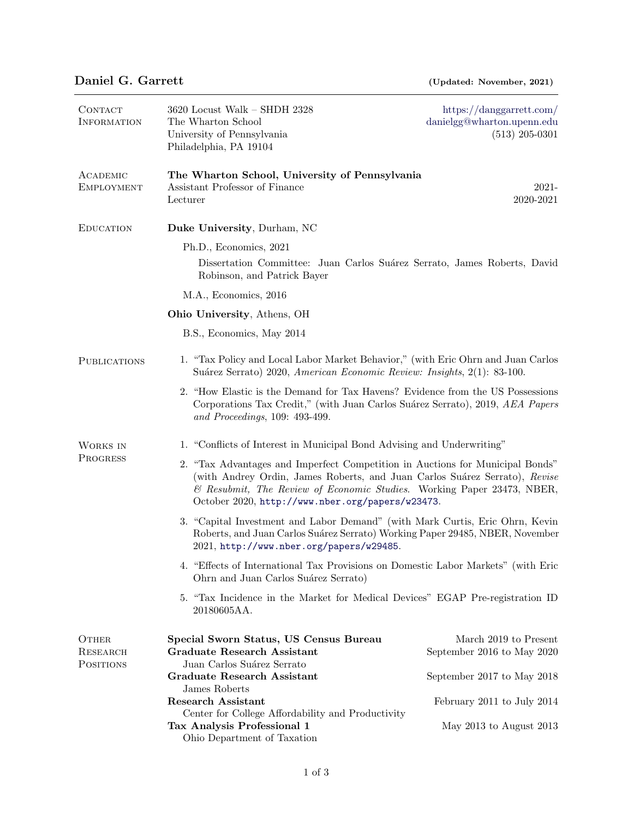| CONTACT<br><b>INFORMATION</b>  | 3620 Locust Walk - SHDH 2328<br>The Wharton School<br>University of Pennsylvania<br>Philadelphia, PA 19104                                                                                                                                                                                | https://danggarrett.com/<br>danielgg@wharton.upenn.edu<br>$(513)$ 205-0301 |  |
|--------------------------------|-------------------------------------------------------------------------------------------------------------------------------------------------------------------------------------------------------------------------------------------------------------------------------------------|----------------------------------------------------------------------------|--|
| ACADEMIC<br><b>EMPLOYMENT</b>  | The Wharton School, University of Pennsylvania<br>Assistant Professor of Finance<br>Lecturer                                                                                                                                                                                              | $2021 -$<br>2020-2021                                                      |  |
| <b>EDUCATION</b>               | Duke University, Durham, NC                                                                                                                                                                                                                                                               |                                                                            |  |
|                                | Ph.D., Economics, 2021                                                                                                                                                                                                                                                                    |                                                                            |  |
|                                | Dissertation Committee: Juan Carlos Suárez Serrato, James Roberts, David<br>Robinson, and Patrick Bayer                                                                                                                                                                                   |                                                                            |  |
|                                | M.A., Economics, 2016                                                                                                                                                                                                                                                                     |                                                                            |  |
|                                | Ohio University, Athens, OH                                                                                                                                                                                                                                                               |                                                                            |  |
|                                | B.S., Economics, May 2014                                                                                                                                                                                                                                                                 |                                                                            |  |
| <b>PUBLICATIONS</b>            | 1. "Tax Policy and Local Labor Market Behavior," (with Eric Ohrn and Juan Carlos<br>Suárez Serrato) 2020, American Economic Review: Insights, 2(1): 83-100.                                                                                                                               |                                                                            |  |
|                                | 2. "How Elastic is the Demand for Tax Havens? Evidence from the US Possessions<br>Corporations Tax Credit," (with Juan Carlos Suárez Serrato), 2019, AEA Papers<br>and Proceedings, 109: 493-499.                                                                                         |                                                                            |  |
| WORKS IN<br>PROGRESS           | 1. "Conflicts of Interest in Municipal Bond Advising and Underwriting"                                                                                                                                                                                                                    |                                                                            |  |
|                                | 2. "Tax Advantages and Imperfect Competition in Auctions for Municipal Bonds"<br>(with Andrey Ordin, James Roberts, and Juan Carlos Suárez Serrato), Revise<br>& Resubmit, The Review of Economic Studies. Working Paper 23473, NBER,<br>October 2020, http://www.nber.org/papers/w23473. |                                                                            |  |
|                                | 3. "Capital Investment and Labor Demand" (with Mark Curtis, Eric Ohrn, Kevin<br>Roberts, and Juan Carlos Suárez Serrato) Working Paper 29485, NBER, November<br>2021, http://www.nber.org/papers/w29485.                                                                                  |                                                                            |  |
|                                | 4. "Effects of International Tax Provisions on Domestic Labor Markets" (with Eric<br>Ohrn and Juan Carlos Suárez Serrato)                                                                                                                                                                 |                                                                            |  |
|                                | 5. "Tax Incidence in the Market for Medical Devices" EGAP Pre-registration ID<br>20180605AA.                                                                                                                                                                                              |                                                                            |  |
| OTHER<br>RESEARCH<br>POSITIONS | Special Sworn Status, US Census Bureau<br><b>Graduate Research Assistant</b><br>Juan Carlos Suárez Serrato                                                                                                                                                                                | March 2019 to Present<br>September 2016 to May 2020                        |  |
|                                | <b>Graduate Research Assistant</b>                                                                                                                                                                                                                                                        | September 2017 to May 2018                                                 |  |
|                                | James Roberts<br><b>Research Assistant</b>                                                                                                                                                                                                                                                | February 2011 to July 2014                                                 |  |
|                                | Center for College Affordability and Productivity<br>Tax Analysis Professional 1<br>Ohio Department of Taxation                                                                                                                                                                           | May 2013 to August 2013                                                    |  |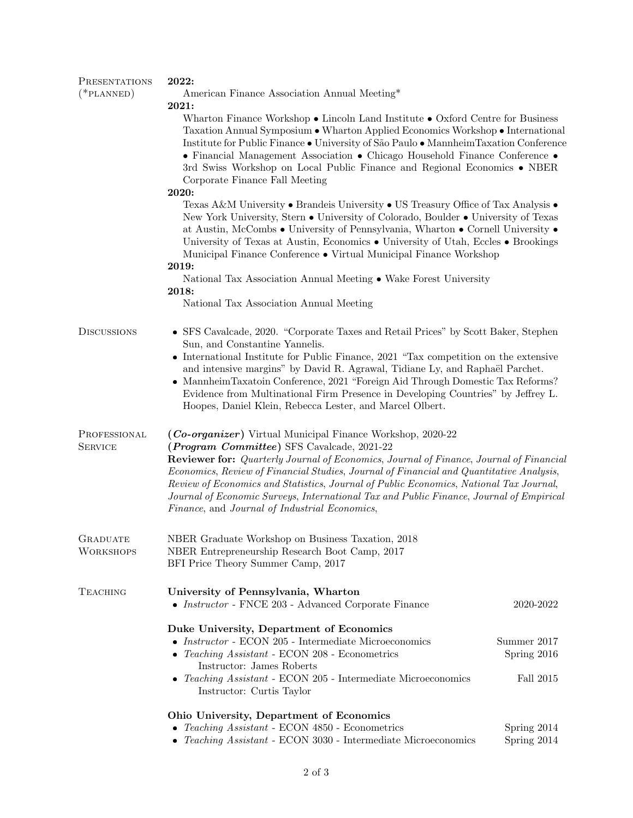| <b>PRESENTATIONS</b><br>$(*PLANNED)$ | 2022:<br>American Finance Association Annual Meeting*<br>2021:<br>Wharton Finance Workshop $\bullet$ Lincoln Land Institute $\bullet$ Oxford Centre for Business<br>Taxation Annual Symposium • Wharton Applied Economics Workshop • International<br>Institute for Public Finance • University of São Paulo • Mannheim Taxation Conference<br>• Financial Management Association • Chicago Household Finance Conference •<br>3rd Swiss Workshop on Local Public Finance and Regional Economics • NBER<br>Corporate Finance Fall Meeting            |                            |  |
|--------------------------------------|-----------------------------------------------------------------------------------------------------------------------------------------------------------------------------------------------------------------------------------------------------------------------------------------------------------------------------------------------------------------------------------------------------------------------------------------------------------------------------------------------------------------------------------------------------|----------------------------|--|
|                                      |                                                                                                                                                                                                                                                                                                                                                                                                                                                                                                                                                     |                            |  |
|                                      | 2020:<br>Texas A&M University • Brandeis University • US Treasury Office of Tax Analysis •<br>New York University, Stern • University of Colorado, Boulder • University of Texas<br>at Austin, McCombs • University of Pennsylvania, Wharton • Cornell University •<br>University of Texas at Austin, Economics $\bullet$ University of Utah, Eccles $\bullet$ Brookings<br>Municipal Finance Conference • Virtual Municipal Finance Workshop                                                                                                       |                            |  |
|                                      | 2019:<br>National Tax Association Annual Meeting • Wake Forest University                                                                                                                                                                                                                                                                                                                                                                                                                                                                           |                            |  |
|                                      | 2018:<br>National Tax Association Annual Meeting                                                                                                                                                                                                                                                                                                                                                                                                                                                                                                    |                            |  |
| <b>DISCUSSIONS</b>                   | • SFS Cavalcade, 2020. "Corporate Taxes and Retail Prices" by Scott Baker, Stephen<br>Sun, and Constantine Yannelis.<br>• International Institute for Public Finance, 2021 "Tax competition on the extensive<br>and intensive margins" by David R. Agrawal, Tidiane Ly, and Raphaël Parchet.<br>• Mannheim Taxatoin Conference, 2021 "Foreign Aid Through Domestic Tax Reforms?<br>Evidence from Multinational Firm Presence in Developing Countries" by Jeffrey L.<br>Hoopes, Daniel Klein, Rebecca Lester, and Marcel Olbert.                     |                            |  |
| PROFESSIONAL<br><b>SERVICE</b>       | (Co-organizer) Virtual Municipal Finance Workshop, 2020-22<br>( <i>Program Committee</i> ) SFS Cavalcade, 2021-22<br><b>Reviewer for:</b> Quarterly Journal of Economics, Journal of Finance, Journal of Financial<br>Economics, Review of Financial Studies, Journal of Financial and Quantitative Analysis,<br>Review of Economics and Statistics, Journal of Public Economics, National Tax Journal,<br>Journal of Economic Surveys, International Tax and Public Finance, Journal of Empirical<br>Finance, and Journal of Industrial Economics, |                            |  |
| <b>GRADUATE</b><br><b>WORKSHOPS</b>  | NBER Graduate Workshop on Business Taxation, 2018<br>NBER Entrepreneurship Research Boot Camp, 2017<br>BFI Price Theory Summer Camp, 2017                                                                                                                                                                                                                                                                                                                                                                                                           |                            |  |
| <b>TEACHING</b>                      | University of Pennsylvania, Wharton<br>• $Instructor$ - FNCE 203 - Advanced Corporate Finance                                                                                                                                                                                                                                                                                                                                                                                                                                                       | 2020-2022                  |  |
|                                      | Duke University, Department of Economics<br>• <i>Instructor</i> - ECON 205 - Intermediate Microeconomics<br>• Teaching Assistant - ECON 208 - Econometrics                                                                                                                                                                                                                                                                                                                                                                                          | Summer 2017<br>Spring 2016 |  |
|                                      | Instructor: James Roberts<br>• Teaching Assistant - ECON 205 - Intermediate Microeconomics<br>Instructor: Curtis Taylor                                                                                                                                                                                                                                                                                                                                                                                                                             | Fall 2015                  |  |
|                                      | Ohio University, Department of Economics                                                                                                                                                                                                                                                                                                                                                                                                                                                                                                            |                            |  |
|                                      | • Teaching Assistant - ECON 4850 - Econometrics                                                                                                                                                                                                                                                                                                                                                                                                                                                                                                     | Spring 2014                |  |
|                                      | • Teaching Assistant - ECON 3030 - Intermediate Microeconomics                                                                                                                                                                                                                                                                                                                                                                                                                                                                                      | Spring 2014                |  |